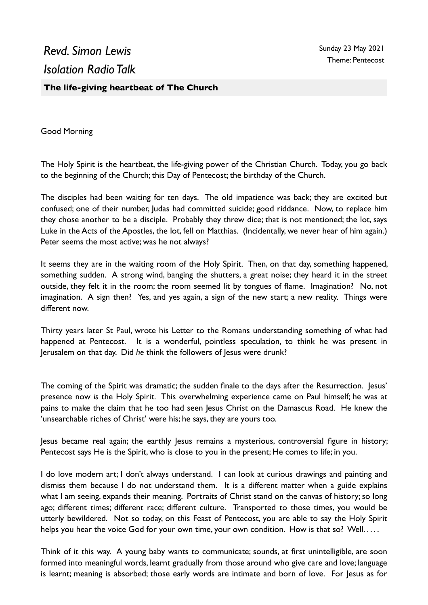## *Revd. Simon Lewis Isolation Radio Talk*

## **The life-giving heartbeat of The Church**

Good Morning

The Holy Spirit is the heartbeat, the life-giving power of the Christian Church. Today, you go back to the beginning of the Church; this Day of Pentecost; the birthday of the Church.

The disciples had been waiting for ten days. The old impatience was back; they are excited but confused; one of their number, Judas had committed suicide; good riddance. Now, to replace him they chose another to be a disciple. Probably they threw dice; that is not mentioned; the lot, says Luke in the Acts of the Apostles, the lot, fell on Matthias. (Incidentally, we never hear of him again.) Peter seems the most active; was he not always?

It seems they are in the waiting room of the Holy Spirit. Then, on that day, something happened, something sudden. A strong wind, banging the shutters, a great noise; they heard it in the street outside, they felt it in the room; the room seemed lit by tongues of flame. Imagination? No, not imagination. A sign then? Yes, and yes again, a sign of the new start; a new reality. Things were different now.

Thirty years later St Paul, wrote his Letter to the Romans understanding something of what had happened at Pentecost. It is a wonderful, pointless speculation, to think he was present in Jerusalem on that day. Did *he* think the followers of Jesus were drunk?

The coming of the Spirit was dramatic; the sudden finale to the days after the Resurrection. Jesus' presence now *is* the Holy Spirit. This overwhelming experience came on Paul himself; he was at pains to make the claim that he too had seen Jesus Christ on the Damascus Road. He knew the 'unsearchable riches of Christ' were his; he says, they are yours too.

Jesus became real again; the earthly Jesus remains a mysterious, controversial figure in history; Pentecost says He is the Spirit, who is close to you in the present; He comes to life; in you.

I do love modern art; I don't always understand. I can look at curious drawings and painting and dismiss them because I do not understand them. It is a different matter when a guide explains what I am seeing, expands their meaning. Portraits of Christ stand on the canvas of history; so long ago; different times; different race; different culture. Transported to those times, you would be utterly bewildered. Not so today, on this Feast of Pentecost, you are able to say the Holy Spirit helps you hear the voice God for your own time, your own condition. How is that so? Well.....

Think of it this way. A young baby wants to communicate; sounds, at first unintelligible, are soon formed into meaningful words, learnt gradually from those around who give care and love; language is learnt; meaning is absorbed; those early words are intimate and born of love. For Jesus as for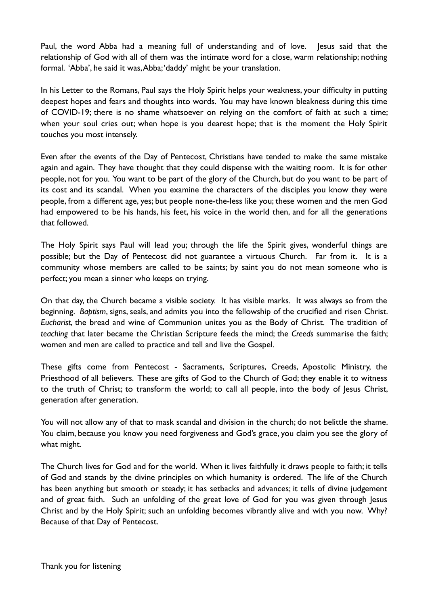Paul, the word Abba had a meaning full of understanding and of love. Jesus said that the relationship of God with all of them was the intimate word for a close, warm relationship; nothing formal. 'Abba', he said it was, Abba; 'daddy' might be your translation.

In his Letter to the Romans, Paul says the Holy Spirit helps your weakness, your difficulty in putting deepest hopes and fears and thoughts into words. You may have known bleakness during this time of COVID-19; there is no shame whatsoever on relying on the comfort of faith at such a time; when your soul cries out; when hope is you dearest hope; that is the moment the Holy Spirit touches you most intensely.

Even after the events of the Day of Pentecost, Christians have tended to make the same mistake again and again. They have thought that they could dispense with the waiting room. It is for other people, not for you. You want to be part of the glory of the Church, but do you want to be part of its cost and its scandal. When you examine the characters of the disciples you know they were people, from a different age, yes; but people none-the-less like you; these women and the men God had empowered to be his hands, his feet, his voice in the world then, and for all the generations that followed.

The Holy Spirit says Paul will lead you; through the life the Spirit gives, wonderful things are possible; but the Day of Pentecost did not guarantee a virtuous Church. Far from it. It is a community whose members are called to be saints; by saint you do not mean someone who is perfect; you mean a sinner who keeps on trying.

On that day, the Church became a visible society. It has visible marks. It was always so from the beginning. *Baptism*, signs, seals, and admits you into the fellowship of the crucified and risen Christ. *Eucharist*, the bread and wine of Communion unites you as the Body of Christ. The tradition of *teaching* that later became the Christian Scripture feeds the mind; the *Creeds* summarise the faith; women and men are called to practice and tell and live the Gospel.

These gifts come from Pentecost - Sacraments, Scriptures, Creeds, Apostolic Ministry, the Priesthood of all believers. These are gifts of God to the Church of God; they enable it to witness to the truth of Christ; to transform the world; to call all people, into the body of Jesus Christ, generation after generation.

You will not allow any of that to mask scandal and division in the church; do not belittle the shame. You claim, because you know you need forgiveness and God's grace, you claim you see the glory of what might.

The Church lives for God and for the world. When it lives faithfully it draws people to faith; it tells of God and stands by the divine principles on which humanity is ordered. The life of the Church has been anything but smooth or steady; it has setbacks and advances; it tells of divine judgement and of great faith. Such an unfolding of the great love of God for you was given through Jesus Christ and by the Holy Spirit; such an unfolding becomes vibrantly alive and with you now. Why? Because of that Day of Pentecost.